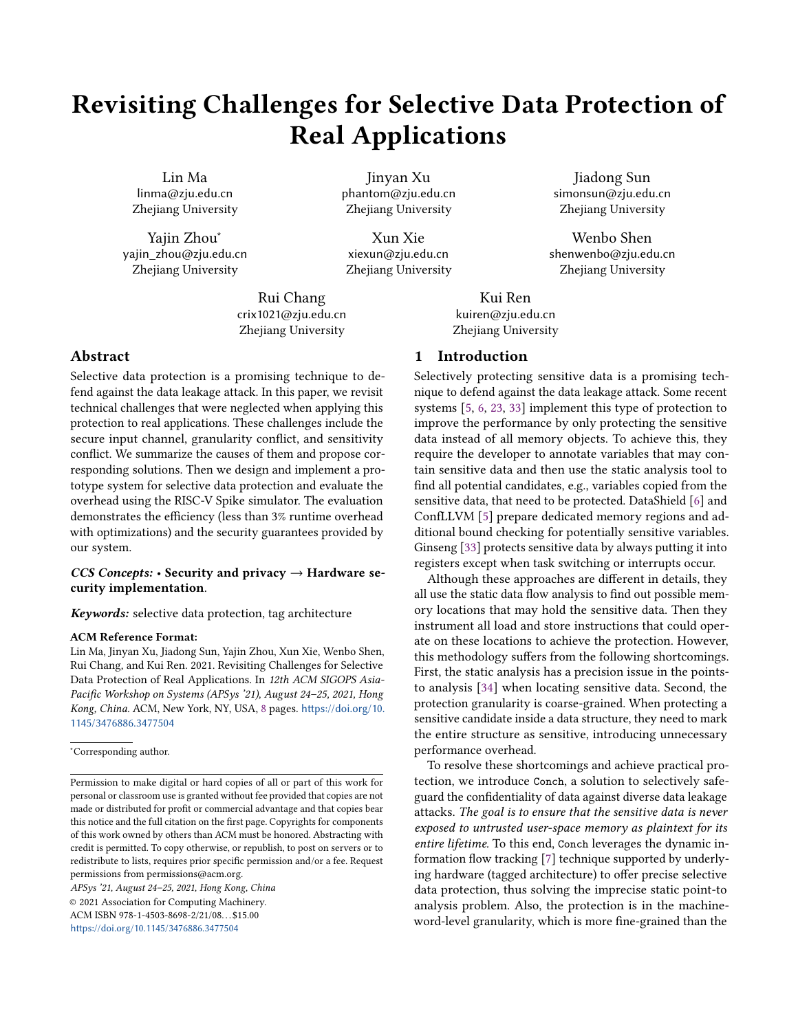# Revisiting Challenges for Selective Data Protection of Real Applications

Lin Ma linma@zju.edu.cn Zhejiang University

Yajin Zhou<sup>∗</sup> yajin\_zhou@zju.edu.cn Zhejiang University

Jinyan Xu phantom@zju.edu.cn Zhejiang University

Xun Xie xiexun@zju.edu.cn Zhejiang University

Rui Chang crix1021@zju.edu.cn Zhejiang University

## Abstract

Selective data protection is a promising technique to defend against the data leakage attack. In this paper, we revisit technical challenges that were neglected when applying this protection to real applications. These challenges include the secure input channel, granularity conflict, and sensitivity conflict. We summarize the causes of them and propose corresponding solutions. Then we design and implement a prototype system for selective data protection and evaluate the overhead using the RISC-V Spike simulator. The evaluation demonstrates the efficiency (less than 3% runtime overhead with optimizations) and the security guarantees provided by our system.

## CCS Concepts:  $\cdot$  Security and privacy  $\rightarrow$  Hardware security implementation.

Keywords: selective data protection, tag architecture

#### ACM Reference Format:

Lin Ma, Jinyan Xu, Jiadong Sun, Yajin Zhou, Xun Xie, Wenbo Shen, Rui Chang, and Kui Ren. 2021. Revisiting Challenges for Selective Data Protection of Real Applications. In 12th ACM SIGOPS Asia-Pacific Workshop on Systems (APSys '21), August 24–25, 2021, Hong Kong, China. ACM, New York, NY, USA, [8](#page-7-0) pages. [https://doi.org/10.](https://doi.org/10.1145/3476886.3477504) [1145/3476886.3477504](https://doi.org/10.1145/3476886.3477504)

<sup>∗</sup>Corresponding author.

APSys '21, August 24–25, 2021, Hong Kong, China © 2021 Association for Computing Machinery. ACM ISBN 978-1-4503-8698-2/21/08. . . \$15.00 <https://doi.org/10.1145/3476886.3477504>

#### 1 Introduction

Kui Ren kuiren@zju.edu.cn Zhejiang University

Selectively protecting sensitive data is a promising technique to defend against the data leakage attack. Some recent systems [\[5,](#page-7-1) [6,](#page-7-2) [23,](#page-7-3) [33\]](#page-7-4) implement this type of protection to improve the performance by only protecting the sensitive data instead of all memory objects. To achieve this, they require the developer to annotate variables that may contain sensitive data and then use the static analysis tool to find all potential candidates, e.g., variables copied from the sensitive data, that need to be protected. DataShield [\[6\]](#page-7-2) and ConfLLVM [\[5\]](#page-7-1) prepare dedicated memory regions and additional bound checking for potentially sensitive variables. Ginseng [\[33\]](#page-7-4) protects sensitive data by always putting it into registers except when task switching or interrupts occur.

Jiadong Sun simonsun@zju.edu.cn Zhejiang University

Wenbo Shen shenwenbo@zju.edu.cn Zhejiang University

Although these approaches are different in details, they all use the static data flow analysis to find out possible memory locations that may hold the sensitive data. Then they instrument all load and store instructions that could operate on these locations to achieve the protection. However, this methodology suffers from the following shortcomings. First, the static analysis has a precision issue in the pointsto analysis [\[34\]](#page-7-5) when locating sensitive data. Second, the protection granularity is coarse-grained. When protecting a sensitive candidate inside a data structure, they need to mark the entire structure as sensitive, introducing unnecessary performance overhead.

To resolve these shortcomings and achieve practical protection, we introduce Conch, a solution to selectively safeguard the confidentiality of data against diverse data leakage attacks. The goal is to ensure that the sensitive data is never exposed to untrusted user-space memory as plaintext for its entire lifetime. To this end, Conch leverages the dynamic information flow tracking [\[7\]](#page-7-6) technique supported by underlying hardware (tagged architecture) to offer precise selective data protection, thus solving the imprecise static point-to analysis problem. Also, the protection is in the machineword-level granularity, which is more fine-grained than the

Permission to make digital or hard copies of all or part of this work for personal or classroom use is granted without fee provided that copies are not made or distributed for profit or commercial advantage and that copies bear this notice and the full citation on the first page. Copyrights for components of this work owned by others than ACM must be honored. Abstracting with credit is permitted. To copy otherwise, or republish, to post on servers or to redistribute to lists, requires prior specific permission and/or a fee. Request permissions from permissions@acm.org.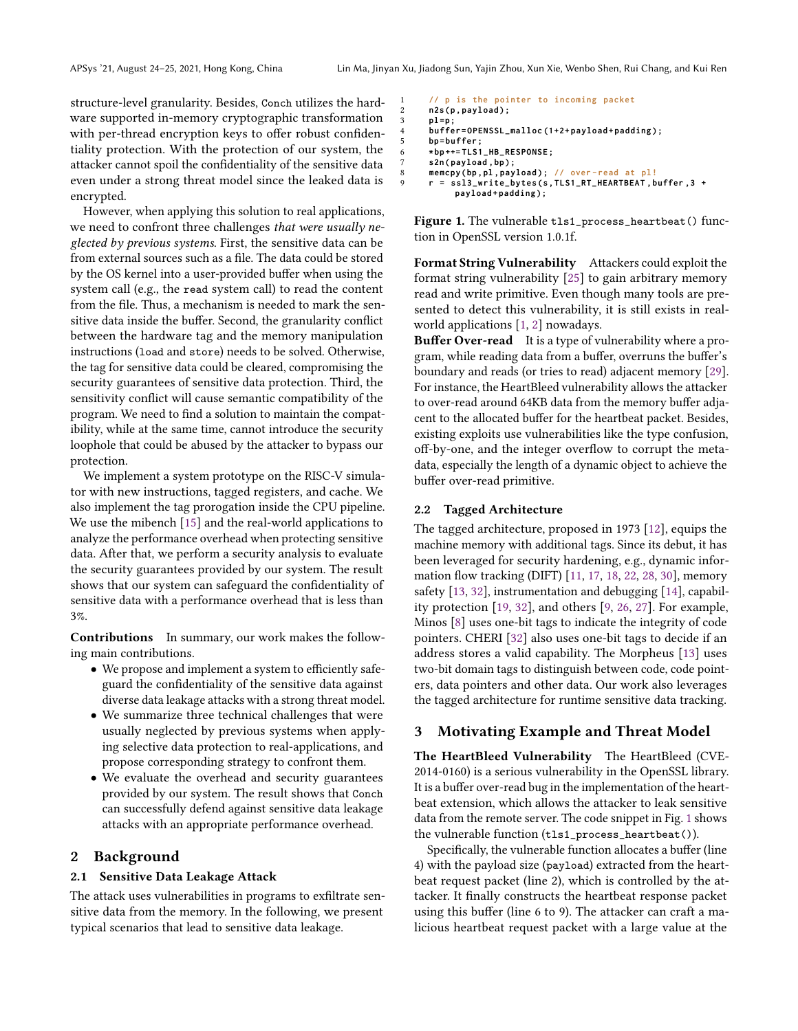structure-level granularity. Besides, Conch utilizes the hardware supported in-memory cryptographic transformation with per-thread encryption keys to offer robust confidentiality protection. With the protection of our system, the attacker cannot spoil the confidentiality of the sensitive data even under a strong threat model since the leaked data is encrypted.

However, when applying this solution to real applications, we need to confront three challenges that were usually neglected by previous systems. First, the sensitive data can be from external sources such as a file. The data could be stored by the OS kernel into a user-provided buffer when using the system call (e.g., the read system call) to read the content from the file. Thus, a mechanism is needed to mark the sensitive data inside the buffer. Second, the granularity conflict between the hardware tag and the memory manipulation instructions (load and store) needs to be solved. Otherwise, the tag for sensitive data could be cleared, compromising the security guarantees of sensitive data protection. Third, the sensitivity conflict will cause semantic compatibility of the program. We need to find a solution to maintain the compatibility, while at the same time, cannot introduce the security loophole that could be abused by the attacker to bypass our protection.

We implement a system prototype on the RISC-V simulator with new instructions, tagged registers, and cache. We also implement the tag prorogation inside the CPU pipeline. We use the mibench [\[15\]](#page-7-7) and the real-world applications to analyze the performance overhead when protecting sensitive data. After that, we perform a security analysis to evaluate the security guarantees provided by our system. The result shows that our system can safeguard the confidentiality of sensitive data with a performance overhead that is less than 3%.

Contributions In summary, our work makes the following main contributions.

- We propose and implement a system to efficiently safeguard the confidentiality of the sensitive data against diverse data leakage attacks with a strong threat model.
- We summarize three technical challenges that were usually neglected by previous systems when applying selective data protection to real-applications, and propose corresponding strategy to confront them.
- We evaluate the overhead and security guarantees provided by our system. The result shows that Conch can successfully defend against sensitive data leakage attacks with an appropriate performance overhead.

## 2 Background

#### 2.1 Sensitive Data Leakage Attack

The attack uses vulnerabilities in programs to exfiltrate sensitive data from the memory. In the following, we present typical scenarios that lead to sensitive data leakage.

```
1 // p is the pointer to incoming packet
2 n2s (p, payload);<br>3 pl=p:
       3 pl = p ;
4 buffer = OPENSSL_malloc (1+2+ payload + padding ) ;
       5 bp = buffer ;
       6 * bp ++= TLS1_HB_RESPONSE ;
       7 s2n ( payload , bp ) ;
8 memcpy ( bp , pl , payload ) ; // over - read at pl!
9 r = ssl3_write_bytes (s , TLS1_RT_HEARTBEAT , buffer ,3 +
              payload + padding ) ;
```
Figure 1. The vulnerable tls1\_process\_heartbeat() function in OpenSSL version 1.0.1f.

Format String Vulnerability Attackers could exploit the format string vulnerability [\[25\]](#page-7-8) to gain arbitrary memory read and write primitive. Even though many tools are presented to detect this vulnerability, it is still exists in realworld applications [\[1,](#page-7-9) [2\]](#page-7-10) nowadays.

**Buffer Over-read** It is a type of vulnerability where a program, while reading data from a buffer, overruns the buffer's boundary and reads (or tries to read) adjacent memory [\[29\]](#page-7-11). For instance, the HeartBleed vulnerability allows the attacker to over-read around 64KB data from the memory buffer adjacent to the allocated buffer for the heartbeat packet. Besides, existing exploits use vulnerabilities like the type confusion, off-by-one, and the integer overflow to corrupt the metadata, especially the length of a dynamic object to achieve the buffer over-read primitive.

#### 2.2 Tagged Architecture

The tagged architecture, proposed in 1973 [\[12\]](#page-7-12), equips the machine memory with additional tags. Since its debut, it has been leveraged for security hardening, e.g., dynamic information flow tracking (DIFT) [\[11,](#page-7-13) [17,](#page-7-14) [18,](#page-7-15) [22,](#page-7-16) [28,](#page-7-17) [30\]](#page-7-18), memory safety [\[13,](#page-7-19) [32\]](#page-7-20), instrumentation and debugging [\[14\]](#page-7-21), capability protection [\[19,](#page-7-22) [32\]](#page-7-20), and others [\[9,](#page-7-23) [26,](#page-7-24) [27\]](#page-7-25). For example, Minos [\[8\]](#page-7-26) uses one-bit tags to indicate the integrity of code pointers. CHERI [\[32\]](#page-7-20) also uses one-bit tags to decide if an address stores a valid capability. The Morpheus [\[13\]](#page-7-19) uses two-bit domain tags to distinguish between code, code pointers, data pointers and other data. Our work also leverages the tagged architecture for runtime sensitive data tracking.

#### <span id="page-1-1"></span>3 Motivating Example and Threat Model

The HeartBleed Vulnerability The HeartBleed (CVE-2014-0160) is a serious vulnerability in the OpenSSL library. It is a buffer over-read bug in the implementation of the heartbeat extension, which allows the attacker to leak sensitive data from the remote server. The code snippet in Fig. [1](#page-1-0) shows the vulnerable function (tls1\_process\_heartbeat()).

Specifically, the vulnerable function allocates a buffer (line 4) with the payload size (payload) extracted from the heartbeat request packet (line 2), which is controlled by the attacker. It finally constructs the heartbeat response packet using this buffer (line 6 to 9). The attacker can craft a malicious heartbeat request packet with a large value at the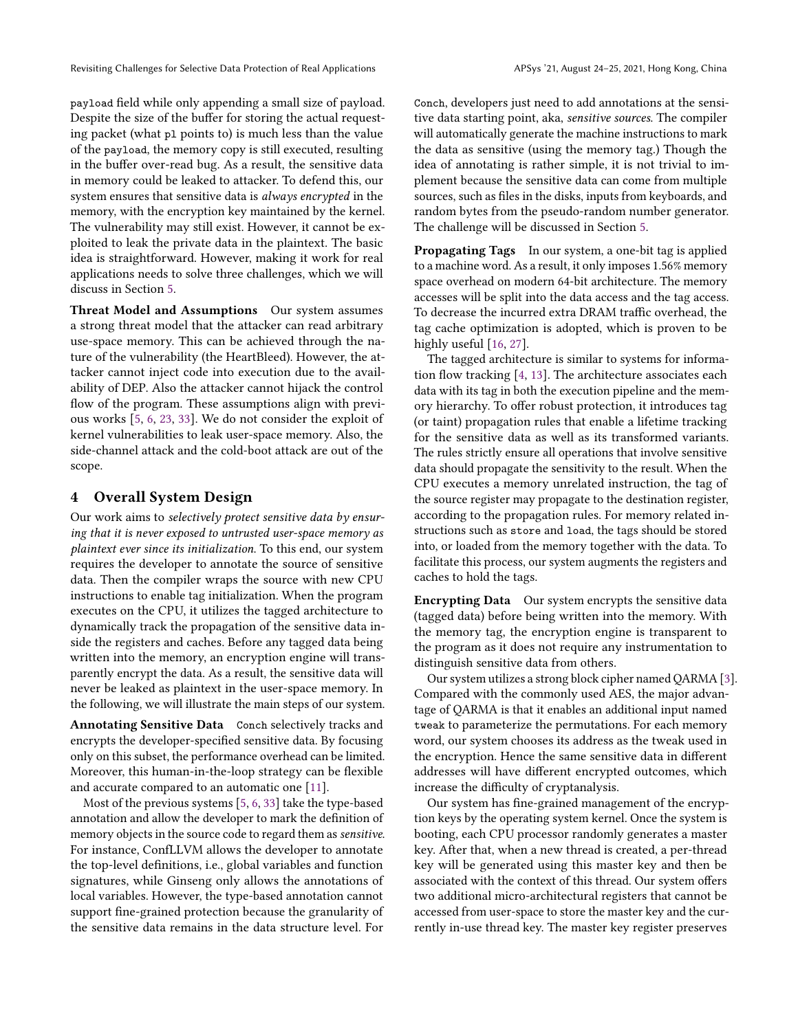Revisiting Challenges for Selective Data Protection of Real Applications APSys '21, August 24-25, 2021, Hong Kong, China

payload field while only appending a small size of payload. Despite the size of the buffer for storing the actual requesting packet (what pl points to) is much less than the value of the payload, the memory copy is still executed, resulting in the buffer over-read bug. As a result, the sensitive data in memory could be leaked to attacker. To defend this, our system ensures that sensitive data is always encrypted in the memory, with the encryption key maintained by the kernel. The vulnerability may still exist. However, it cannot be exploited to leak the private data in the plaintext. The basic idea is straightforward. However, making it work for real applications needs to solve three challenges, which we will discuss in Section [5.](#page-3-0)

Threat Model and Assumptions Our system assumes a strong threat model that the attacker can read arbitrary use-space memory. This can be achieved through the nature of the vulnerability (the HeartBleed). However, the attacker cannot inject code into execution due to the availability of DEP. Also the attacker cannot hijack the control flow of the program. These assumptions align with previous works [\[5,](#page-7-1) [6,](#page-7-2) [23,](#page-7-3) [33\]](#page-7-4). We do not consider the exploit of kernel vulnerabilities to leak user-space memory. Also, the side-channel attack and the cold-boot attack are out of the scope.

## 4 Overall System Design

Our work aims to selectively protect sensitive data by ensuring that it is never exposed to untrusted user-space memory as plaintext ever since its initialization. To this end, our system requires the developer to annotate the source of sensitive data. Then the compiler wraps the source with new CPU instructions to enable tag initialization. When the program executes on the CPU, it utilizes the tagged architecture to dynamically track the propagation of the sensitive data inside the registers and caches. Before any tagged data being written into the memory, an encryption engine will transparently encrypt the data. As a result, the sensitive data will never be leaked as plaintext in the user-space memory. In the following, we will illustrate the main steps of our system.

Annotating Sensitive Data Conch selectively tracks and encrypts the developer-specified sensitive data. By focusing only on this subset, the performance overhead can be limited. Moreover, this human-in-the-loop strategy can be flexible and accurate compared to an automatic one [\[11\]](#page-7-13).

Most of the previous systems [\[5,](#page-7-1) [6,](#page-7-2) [33\]](#page-7-4) take the type-based annotation and allow the developer to mark the definition of memory objects in the source code to regard them as sensitive. For instance, ConfLLVM allows the developer to annotate the top-level definitions, i.e., global variables and function signatures, while Ginseng only allows the annotations of local variables. However, the type-based annotation cannot support fine-grained protection because the granularity of the sensitive data remains in the data structure level. For

Conch, developers just need to add annotations at the sensitive data starting point, aka, sensitive sources. The compiler will automatically generate the machine instructions to mark the data as sensitive (using the memory tag.) Though the idea of annotating is rather simple, it is not trivial to implement because the sensitive data can come from multiple sources, such as files in the disks, inputs from keyboards, and random bytes from the pseudo-random number generator. The challenge will be discussed in Section [5.](#page-3-0)

Propagating Tags In our system, a one-bit tag is applied to a machine word. As a result, it only imposes 1.56% memory space overhead on modern 64-bit architecture. The memory accesses will be split into the data access and the tag access. To decrease the incurred extra DRAM traffic overhead, the tag cache optimization is adopted, which is proven to be highly useful [\[16,](#page-7-27) [27\]](#page-7-25).

The tagged architecture is similar to systems for information flow tracking [\[4,](#page-7-28) [13\]](#page-7-19). The architecture associates each data with its tag in both the execution pipeline and the memory hierarchy. To offer robust protection, it introduces tag (or taint) propagation rules that enable a lifetime tracking for the sensitive data as well as its transformed variants. The rules strictly ensure all operations that involve sensitive data should propagate the sensitivity to the result. When the CPU executes a memory unrelated instruction, the tag of the source register may propagate to the destination register, according to the propagation rules. For memory related instructions such as store and load, the tags should be stored into, or loaded from the memory together with the data. To facilitate this process, our system augments the registers and caches to hold the tags.

Encrypting Data Our system encrypts the sensitive data (tagged data) before being written into the memory. With the memory tag, the encryption engine is transparent to the program as it does not require any instrumentation to distinguish sensitive data from others.

Our system utilizes a strong block cipher named QARMA [\[3\]](#page-7-29). Compared with the commonly used AES, the major advantage of QARMA is that it enables an additional input named tweak to parameterize the permutations. For each memory word, our system chooses its address as the tweak used in the encryption. Hence the same sensitive data in different addresses will have different encrypted outcomes, which increase the difficulty of cryptanalysis.

Our system has fine-grained management of the encryption keys by the operating system kernel. Once the system is booting, each CPU processor randomly generates a master key. After that, when a new thread is created, a per-thread key will be generated using this master key and then be associated with the context of this thread. Our system offers two additional micro-architectural registers that cannot be accessed from user-space to store the master key and the currently in-use thread key. The master key register preserves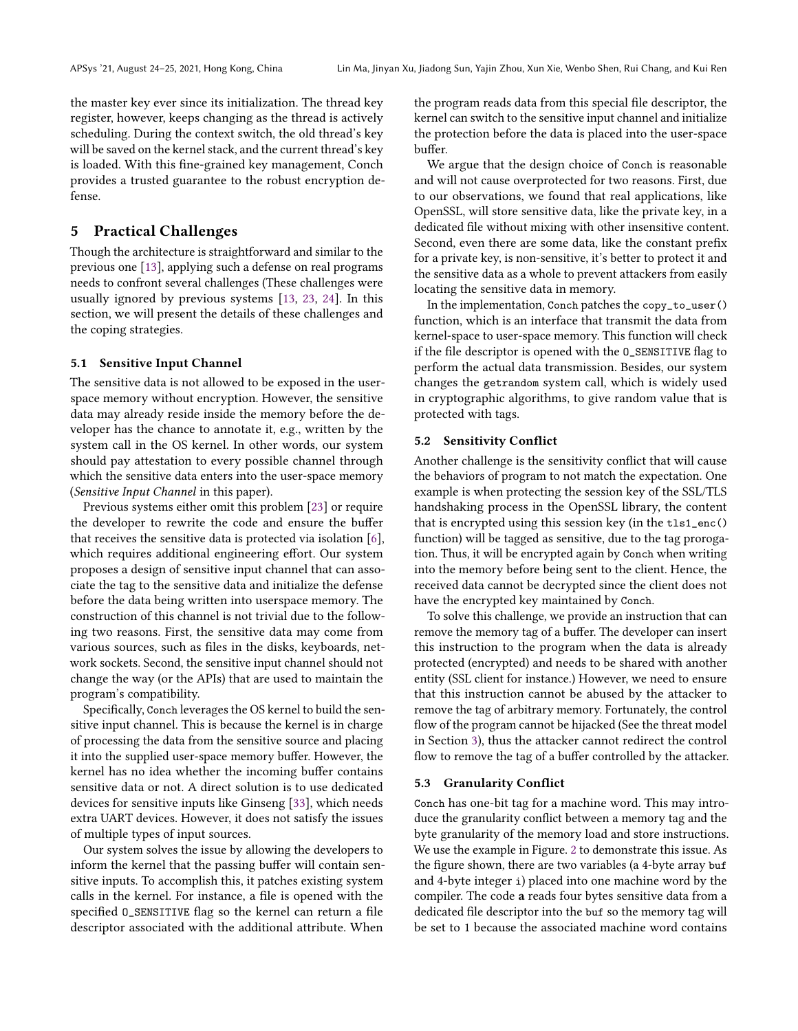the master key ever since its initialization. The thread key register, however, keeps changing as the thread is actively scheduling. During the context switch, the old thread's key will be saved on the kernel stack, and the current thread's key is loaded. With this fine-grained key management, Conch provides a trusted guarantee to the robust encryption defense.

## <span id="page-3-0"></span>5 Practical Challenges

Though the architecture is straightforward and similar to the previous one [\[13\]](#page-7-19), applying such a defense on real programs needs to confront several challenges (These challenges were usually ignored by previous systems [\[13,](#page-7-19) [23,](#page-7-3) [24\]](#page-7-30). In this section, we will present the details of these challenges and the coping strategies.

#### 5.1 Sensitive Input Channel

The sensitive data is not allowed to be exposed in the userspace memory without encryption. However, the sensitive data may already reside inside the memory before the developer has the chance to annotate it, e.g., written by the system call in the OS kernel. In other words, our system should pay attestation to every possible channel through which the sensitive data enters into the user-space memory (Sensitive Input Channel in this paper).

Previous systems either omit this problem [\[23\]](#page-7-3) or require the developer to rewrite the code and ensure the buffer that receives the sensitive data is protected via isolation [\[6\]](#page-7-2), which requires additional engineering effort. Our system proposes a design of sensitive input channel that can associate the tag to the sensitive data and initialize the defense before the data being written into userspace memory. The construction of this channel is not trivial due to the following two reasons. First, the sensitive data may come from various sources, such as files in the disks, keyboards, network sockets. Second, the sensitive input channel should not change the way (or the APIs) that are used to maintain the program's compatibility.

Specifically, Conch leverages the OS kernel to build the sensitive input channel. This is because the kernel is in charge of processing the data from the sensitive source and placing it into the supplied user-space memory buffer. However, the kernel has no idea whether the incoming buffer contains sensitive data or not. A direct solution is to use dedicated devices for sensitive inputs like Ginseng [\[33\]](#page-7-4), which needs extra UART devices. However, it does not satisfy the issues of multiple types of input sources.

Our system solves the issue by allowing the developers to inform the kernel that the passing buffer will contain sensitive inputs. To accomplish this, it patches existing system calls in the kernel. For instance, a file is opened with the specified O\_SENSITIVE flag so the kernel can return a file descriptor associated with the additional attribute. When

the program reads data from this special file descriptor, the kernel can switch to the sensitive input channel and initialize the protection before the data is placed into the user-space buffer.

We argue that the design choice of Conch is reasonable and will not cause overprotected for two reasons. First, due to our observations, we found that real applications, like OpenSSL, will store sensitive data, like the private key, in a dedicated file without mixing with other insensitive content. Second, even there are some data, like the constant prefix for a private key, is non-sensitive, it's better to protect it and the sensitive data as a whole to prevent attackers from easily locating the sensitive data in memory.

In the implementation, Conch patches the copy\_to\_user() function, which is an interface that transmit the data from kernel-space to user-space memory. This function will check if the file descriptor is opened with the O\_SENSITIVE flag to perform the actual data transmission. Besides, our system changes the getrandom system call, which is widely used in cryptographic algorithms, to give random value that is protected with tags.

#### <span id="page-3-1"></span>5.2 Sensitivity Conflict

Another challenge is the sensitivity conflict that will cause the behaviors of program to not match the expectation. One example is when protecting the session key of the SSL/TLS handshaking process in the OpenSSL library, the content that is encrypted using this session key (in the tls1\_enc() function) will be tagged as sensitive, due to the tag prorogation. Thus, it will be encrypted again by Conch when writing into the memory before being sent to the client. Hence, the received data cannot be decrypted since the client does not have the encrypted key maintained by Conch.

To solve this challenge, we provide an instruction that can remove the memory tag of a buffer. The developer can insert this instruction to the program when the data is already protected (encrypted) and needs to be shared with another entity (SSL client for instance.) However, we need to ensure that this instruction cannot be abused by the attacker to remove the tag of arbitrary memory. Fortunately, the control flow of the program cannot be hijacked (See the threat model in Section [3\)](#page-1-1), thus the attacker cannot redirect the control flow to remove the tag of a buffer controlled by the attacker.

#### 5.3 Granularity Conflict

Conch has one-bit tag for a machine word. This may introduce the granularity conflict between a memory tag and the byte granularity of the memory load and store instructions. We use the example in Figure. [2](#page-4-0) to demonstrate this issue. As the figure shown, there are two variables (a 4-byte array buf and 4-byte integer i) placed into one machine word by the compiler. The code a reads four bytes sensitive data from a dedicated file descriptor into the buf so the memory tag will be set to 1 because the associated machine word contains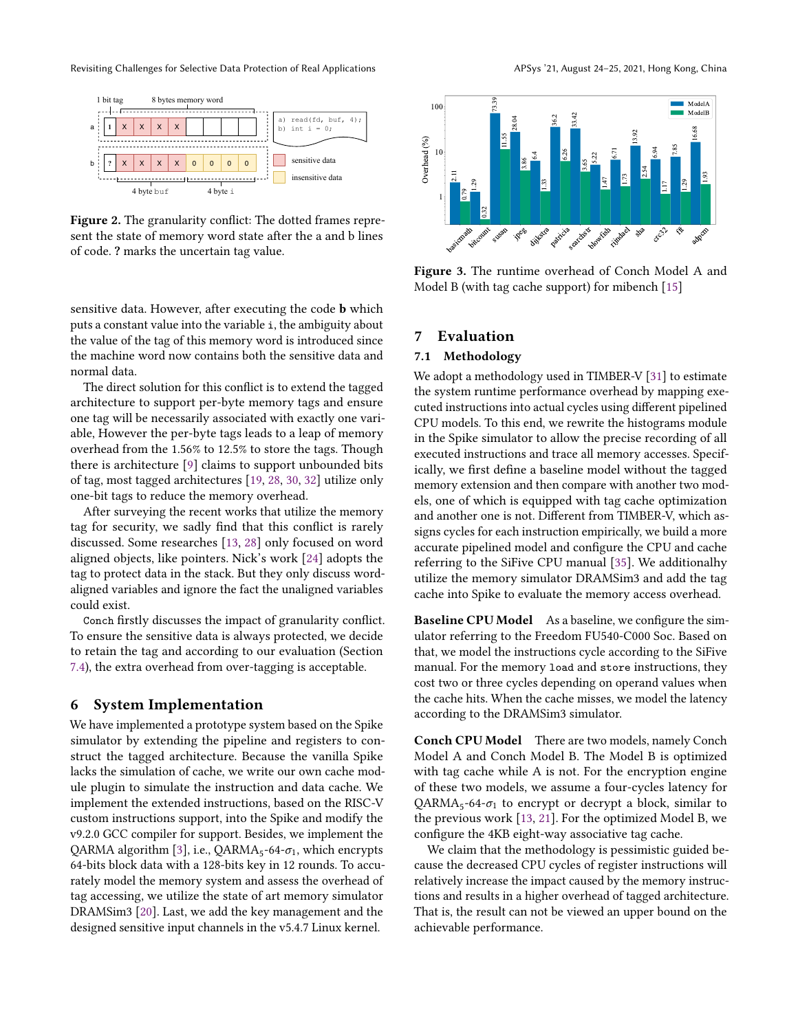Revisiting Challenges for Selective Data Protection of Real Applications APSys '21, August 24-25, 2021, Hong Kong, China

<span id="page-4-0"></span>

Figure 2. The granularity conflict: The dotted frames represent the state of memory word state after the a and b lines of code. ? marks the uncertain tag value.

sensitive data. However, after executing the code **b** which puts a constant value into the variable i, the ambiguity about the value of the tag of this memory word is introduced since the machine word now contains both the sensitive data and normal data.

The direct solution for this conflict is to extend the tagged architecture to support per-byte memory tags and ensure one tag will be necessarily associated with exactly one variable, However the per-byte tags leads to a leap of memory overhead from the 1.56% to 12.5% to store the tags. Though there is architecture [\[9\]](#page-7-23) claims to support unbounded bits of tag, most tagged architectures [\[19,](#page-7-22) [28,](#page-7-17) [30,](#page-7-18) [32\]](#page-7-20) utilize only one-bit tags to reduce the memory overhead.

After surveying the recent works that utilize the memory tag for security, we sadly find that this conflict is rarely discussed. Some researches [\[13,](#page-7-19) [28\]](#page-7-17) only focused on word aligned objects, like pointers. Nick's work [\[24\]](#page-7-30) adopts the tag to protect data in the stack. But they only discuss wordaligned variables and ignore the fact the unaligned variables could exist.

Conch firstly discusses the impact of granularity conflict. To ensure the sensitive data is always protected, we decide to retain the tag and according to our evaluation (Section [7.4\)](#page-5-0), the extra overhead from over-tagging is acceptable.

#### 6 System Implementation

We have implemented a prototype system based on the Spike simulator by extending the pipeline and registers to construct the tagged architecture. Because the vanilla Spike lacks the simulation of cache, we write our own cache module plugin to simulate the instruction and data cache. We implement the extended instructions, based on the RISC-V custom instructions support, into the Spike and modify the v9.2.0 GCC compiler for support. Besides, we implement the QARMA algorithm [\[3\]](#page-7-29), i.e.,  $QARMA_5-64-\sigma_1$ , which encrypts 64-bits block data with a 128-bits key in 12 rounds. To accurately model the memory system and assess the overhead of tag accessing, we utilize the state of art memory simulator DRAMSim3 [\[20\]](#page-7-31). Last, we add the key management and the sent the state of memory word state after the a and b lines<br>
Figure 3. The<br>
sensitive data. However, after executing the code **b** which<br>
Model B (with<br>
pubta constant value into the variable s, the ambiguity about<br>
the va

<span id="page-4-1"></span>

Figure 3. The runtime overhead of Conch Model A and Model B (with tag cache support) for mibench [\[15\]](#page-7-7)

## 7 Evaluation

## 7.1 Methodology

We adopt a methodology used in TIMBER-V [\[31\]](#page-7-32) to estimate the system runtime performance overhead by mapping executed instructions into actual cycles using different pipelined CPU models. To this end, we rewrite the histograms module in the Spike simulator to allow the precise recording of all executed instructions and trace all memory accesses. Specifically, we first define a baseline model without the tagged memory extension and then compare with another two models, one of which is equipped with tag cache optimization and another one is not. Different from TIMBER-V, which assigns cycles for each instruction empirically, we build a more accurate pipelined model and configure the CPU and cache referring to the SiFive CPU manual [\[35\]](#page-7-33). We additionalhy utilize the memory simulator DRAMSim3 and add the tag cache into Spike to evaluate the memory access overhead.

Baseline CPU Model As a baseline, we configure the simulator referring to the Freedom FU540-C000 Soc. Based on that, we model the instructions cycle according to the SiFive manual. For the memory load and store instructions, they cost two or three cycles depending on operand values when the cache hits. When the cache misses, we model the latency according to the DRAMSim3 simulator.

Conch CPU Model There are two models, namely Conch Model A and Conch Model B. The Model B is optimized with tag cache while A is not. For the encryption engine of these two models, we assume a four-cycles latency for  $QARMA<sub>5</sub>$ -64- $\sigma<sub>1</sub>$  to encrypt or decrypt a block, similar to the previous work [\[13,](#page-7-19) [21\]](#page-7-34). For the optimized Model B, we configure the 4KB eight-way associative tag cache.

We claim that the methodology is pessimistic guided because the decreased CPU cycles of register instructions will relatively increase the impact caused by the memory instructions and results in a higher overhead of tagged architecture. That is, the result can not be viewed an upper bound on the achievable performance.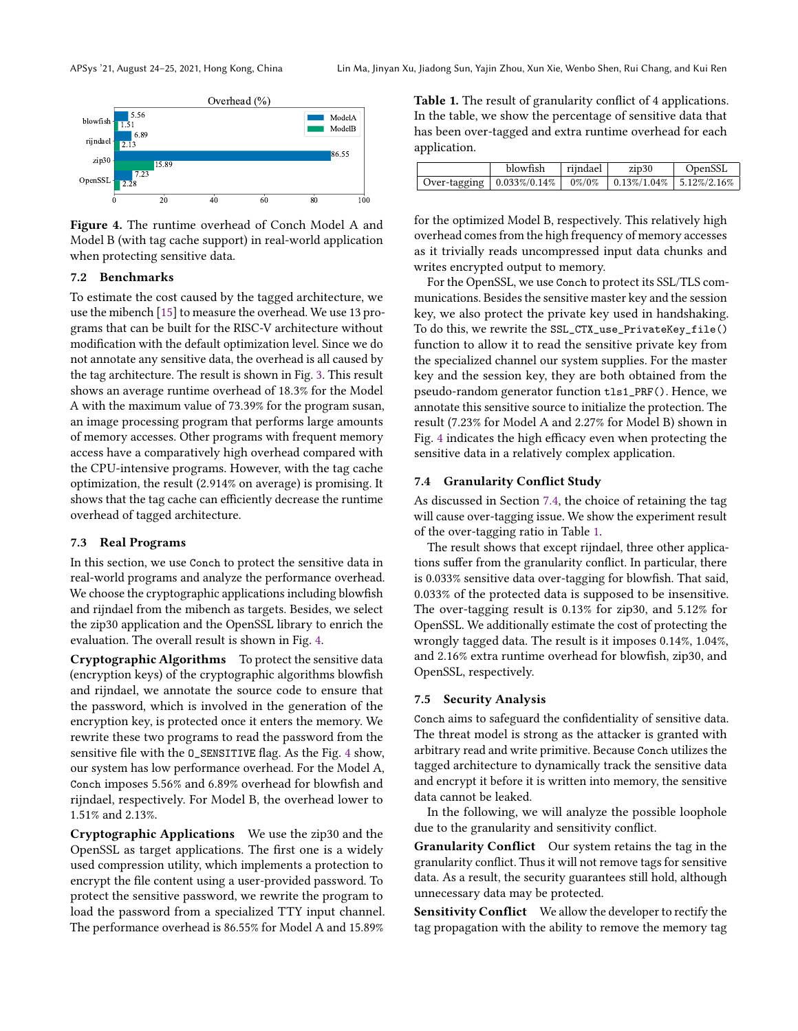<span id="page-5-1"></span>

Figure 4. The runtime overhead of Conch Model A and Model B (with tag cache support) in real-world application when protecting sensitive data.

## 7.2 Benchmarks

To estimate the cost caused by the tagged architecture, we use the mibench [\[15\]](#page-7-7) to measure the overhead. We use 13 programs that can be built for the RISC-V architecture without modification with the default optimization level. Since we do not annotate any sensitive data, the overhead is all caused by the tag architecture. The result is shown in Fig. [3.](#page-4-1) This result shows an average runtime overhead of 18.3% for the Model A with the maximum value of 73.39% for the program susan, an image processing program that performs large amounts of memory accesses. Other programs with frequent memory access have a comparatively high overhead compared with the CPU-intensive programs. However, with the tag cache optimization, the result (2.914% on average) is promising. It shows that the tag cache can efficiently decrease the runtime overhead of tagged architecture.

#### 7.3 Real Programs

In this section, we use Conch to protect the sensitive data in real-world programs and analyze the performance overhead. We choose the cryptographic applications including blowfish and rijndael from the mibench as targets. Besides, we select the zip30 application and the OpenSSL library to enrich the evaluation. The overall result is shown in Fig. [4.](#page-5-1)

Cryptographic Algorithms To protect the sensitive data (encryption keys) of the cryptographic algorithms blowfish and rijndael, we annotate the source code to ensure that the password, which is involved in the generation of the encryption key, is protected once it enters the memory. We rewrite these two programs to read the password from the sensitive file with the O\_SENSITIVE flag. As the Fig. [4](#page-5-1) show, our system has low performance overhead. For the Model A, Conch imposes 5.56% and 6.89% overhead for blowfish and rijndael, respectively. For Model B, the overhead lower to 1.51% and 2.13%.

Cryptographic Applications We use the zip30 and the OpenSSL as target applications. The first one is a widely used compression utility, which implements a protection to encrypt the file content using a user-provided password. To protect the sensitive password, we rewrite the program to load the password from a specialized TTY input channel. The performance overhead is 86.55% for Model A and 15.89%

<span id="page-5-2"></span>Table 1. The result of granularity conflict of 4 applications. In the table, we show the percentage of sensitive data that has been over-tagged and extra runtime overhead for each application.

|                                                                                 | $blowfish$   rijndael | zip30 | OpenSSL |
|---------------------------------------------------------------------------------|-----------------------|-------|---------|
| Over-tagging   $0.033\%/0.14\%$   $0\%/0\%$   $0.13\%/1.04\%$   $5.12\%/2.16\%$ |                       |       |         |

for the optimized Model B, respectively. This relatively high overhead comes from the high frequency of memory accesses as it trivially reads uncompressed input data chunks and writes encrypted output to memory.

For the OpenSSL, we use Conch to protect its SSL/TLS communications. Besides the sensitive master key and the session key, we also protect the private key used in handshaking. To do this, we rewrite the SSL\_CTX\_use\_PrivateKey\_file() function to allow it to read the sensitive private key from the specialized channel our system supplies. For the master key and the session key, they are both obtained from the pseudo-random generator function tls1\_PRF(). Hence, we annotate this sensitive source to initialize the protection. The result (7.23% for Model A and 2.27% for Model B) shown in Fig. [4](#page-5-1) indicates the high efficacy even when protecting the sensitive data in a relatively complex application.

#### <span id="page-5-0"></span>7.4 Granularity Conflict Study

As discussed in Section [7.4,](#page-5-0) the choice of retaining the tag will cause over-tagging issue. We show the experiment result of the over-tagging ratio in Table [1.](#page-5-2)

The result shows that except rijndael, three other applications suffer from the granularity conflict. In particular, there is 0.033% sensitive data over-tagging for blowfish. That said, 0.033% of the protected data is supposed to be insensitive. The over-tagging result is 0.13% for zip30, and 5.12% for OpenSSL. We additionally estimate the cost of protecting the wrongly tagged data. The result is it imposes 0.14%, 1.04%, and 2.16% extra runtime overhead for blowfish, zip30, and OpenSSL, respectively.

#### 7.5 Security Analysis

Conch aims to safeguard the confidentiality of sensitive data. The threat model is strong as the attacker is granted with arbitrary read and write primitive. Because Conch utilizes the tagged architecture to dynamically track the sensitive data and encrypt it before it is written into memory, the sensitive data cannot be leaked.

In the following, we will analyze the possible loophole due to the granularity and sensitivity conflict.

Granularity Conflict Our system retains the tag in the granularity conflict. Thus it will not remove tags for sensitive data. As a result, the security guarantees still hold, although unnecessary data may be protected.

Sensitivity Conflict We allow the developer to rectify the tag propagation with the ability to remove the memory tag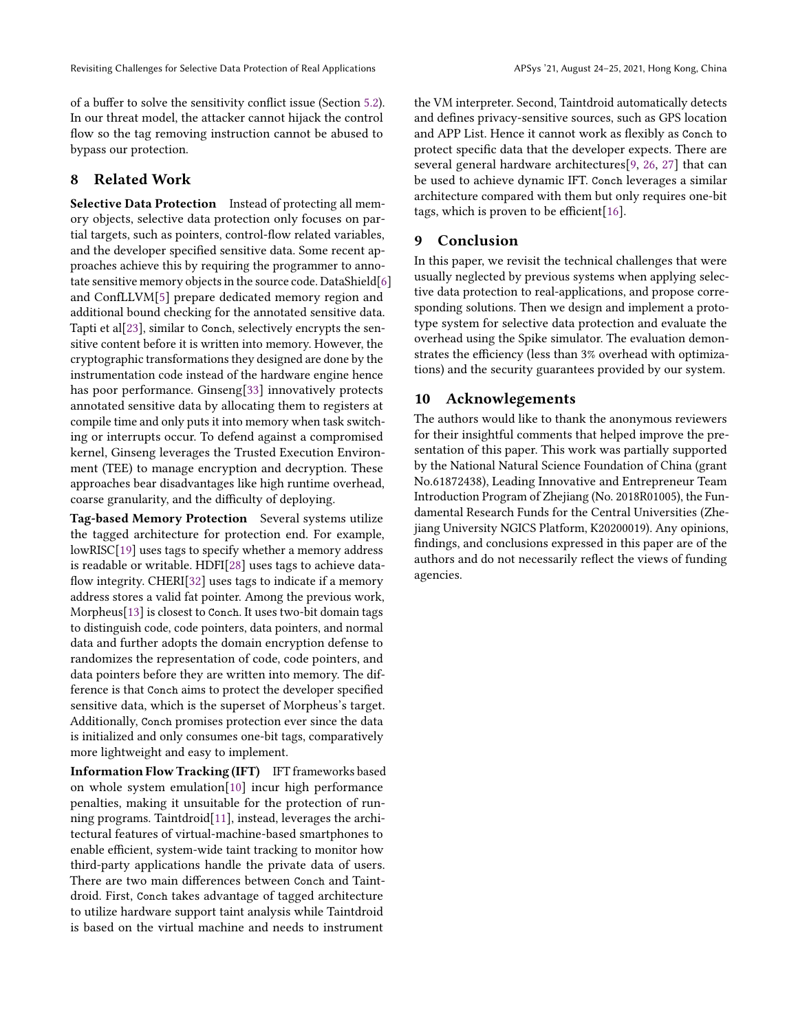of a buffer to solve the sensitivity conflict issue (Section [5.2\)](#page-3-1). In our threat model, the attacker cannot hijack the control flow so the tag removing instruction cannot be abused to bypass our protection.

## 8 Related Work

Selective Data Protection Instead of protecting all memory objects, selective data protection only focuses on partial targets, such as pointers, control-flow related variables, and the developer specified sensitive data. Some recent approaches achieve this by requiring the programmer to annotate sensitive memory objects in the source code. DataShield[\[6\]](#page-7-2) and ConfLLVM[\[5\]](#page-7-1) prepare dedicated memory region and additional bound checking for the annotated sensitive data. Tapti et al[\[23\]](#page-7-3), similar to Conch, selectively encrypts the sensitive content before it is written into memory. However, the cryptographic transformations they designed are done by the instrumentation code instead of the hardware engine hence has poor performance. Ginseng[\[33\]](#page-7-4) innovatively protects annotated sensitive data by allocating them to registers at compile time and only puts it into memory when task switching or interrupts occur. To defend against a compromised kernel, Ginseng leverages the Trusted Execution Environment (TEE) to manage encryption and decryption. These approaches bear disadvantages like high runtime overhead, coarse granularity, and the difficulty of deploying.

Tag-based Memory Protection Several systems utilize the tagged architecture for protection end. For example, lowRISC[\[19\]](#page-7-22) uses tags to specify whether a memory address is readable or writable. HDFI[\[28\]](#page-7-17) uses tags to achieve dataflow integrity. CHERI[\[32\]](#page-7-20) uses tags to indicate if a memory address stores a valid fat pointer. Among the previous work, Morpheus[\[13\]](#page-7-19) is closest to Conch. It uses two-bit domain tags to distinguish code, code pointers, data pointers, and normal data and further adopts the domain encryption defense to randomizes the representation of code, code pointers, and data pointers before they are written into memory. The difference is that Conch aims to protect the developer specified sensitive data, which is the superset of Morpheus's target. Additionally, Conch promises protection ever since the data is initialized and only consumes one-bit tags, comparatively more lightweight and easy to implement.

Information Flow Tracking (IFT) IFT frameworks based on whole system emulation[\[10\]](#page-7-35) incur high performance penalties, making it unsuitable for the protection of running programs. Taintdroid[\[11\]](#page-7-13), instead, leverages the architectural features of virtual-machine-based smartphones to enable efficient, system-wide taint tracking to monitor how third-party applications handle the private data of users. There are two main differences between Conch and Taintdroid. First, Conch takes advantage of tagged architecture to utilize hardware support taint analysis while Taintdroid is based on the virtual machine and needs to instrument

the VM interpreter. Second, Taintdroid automatically detects and defines privacy-sensitive sources, such as GPS location and APP List. Hence it cannot work as flexibly as Conch to protect specific data that the developer expects. There are several general hardware architectures[\[9,](#page-7-23) [26,](#page-7-24) [27\]](#page-7-25) that can be used to achieve dynamic IFT. Conch leverages a similar architecture compared with them but only requires one-bit tags, which is proven to be efficient[\[16\]](#page-7-27).

## 9 Conclusion

In this paper, we revisit the technical challenges that were usually neglected by previous systems when applying selective data protection to real-applications, and propose corresponding solutions. Then we design and implement a prototype system for selective data protection and evaluate the overhead using the Spike simulator. The evaluation demonstrates the efficiency (less than 3% overhead with optimizations) and the security guarantees provided by our system.

## 10 Acknowlegements

The authors would like to thank the anonymous reviewers for their insightful comments that helped improve the presentation of this paper. This work was partially supported by the National Natural Science Foundation of China (grant No.61872438), Leading Innovative and Entrepreneur Team Introduction Program of Zhejiang (No. 2018R01005), the Fundamental Research Funds for the Central Universities (Zhejiang University NGICS Platform, K20200019). Any opinions, findings, and conclusions expressed in this paper are of the authors and do not necessarily reflect the views of funding agencies.